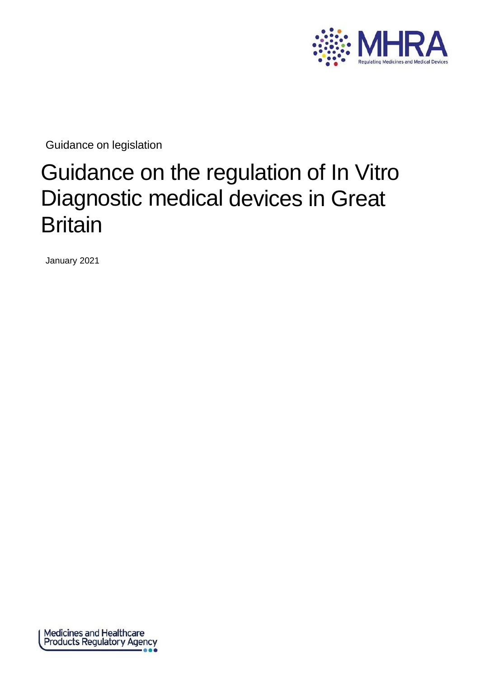

Guidance on legislation

# Guidance on the regulation of In Vitro Diagnostic medical devices in Great **Britain**

January 2021

Medicines and Healthcare<br>Products Regulatory Agency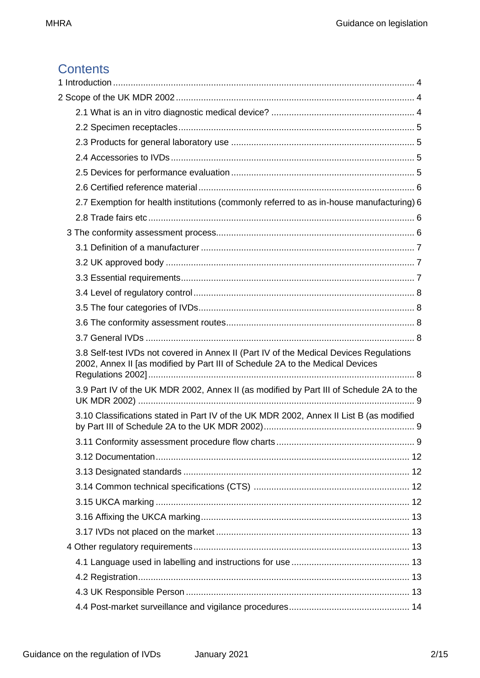# **Contents**

| 2.7 Exemption for health institutions (commonly referred to as in-house manufacturing) 6                                                                                |  |
|-------------------------------------------------------------------------------------------------------------------------------------------------------------------------|--|
|                                                                                                                                                                         |  |
|                                                                                                                                                                         |  |
|                                                                                                                                                                         |  |
|                                                                                                                                                                         |  |
|                                                                                                                                                                         |  |
|                                                                                                                                                                         |  |
|                                                                                                                                                                         |  |
|                                                                                                                                                                         |  |
|                                                                                                                                                                         |  |
| 3.8 Self-test IVDs not covered in Annex II (Part IV of the Medical Devices Regulations<br>2002, Annex II [as modified by Part III of Schedule 2A to the Medical Devices |  |
| 3.9 Part IV of the UK MDR 2002, Annex II (as modified by Part III of Schedule 2A to the                                                                                 |  |
| 3.10 Classifications stated in Part IV of the UK MDR 2002, Annex II List B (as modified                                                                                 |  |
|                                                                                                                                                                         |  |
|                                                                                                                                                                         |  |
|                                                                                                                                                                         |  |
|                                                                                                                                                                         |  |
|                                                                                                                                                                         |  |
|                                                                                                                                                                         |  |
|                                                                                                                                                                         |  |
|                                                                                                                                                                         |  |
|                                                                                                                                                                         |  |
|                                                                                                                                                                         |  |
|                                                                                                                                                                         |  |
|                                                                                                                                                                         |  |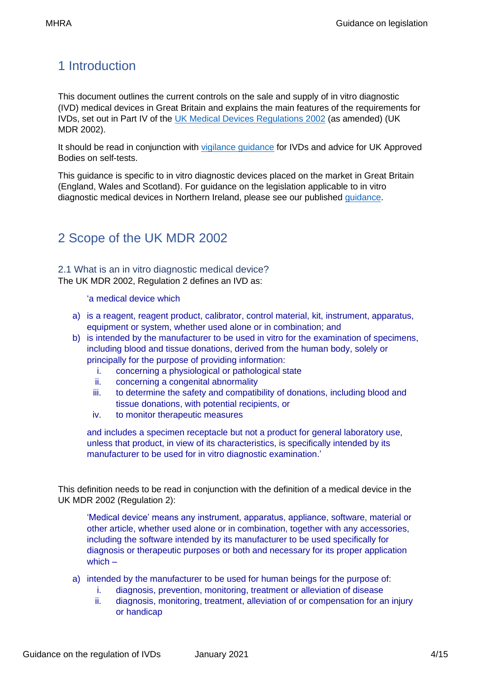# <span id="page-3-0"></span>1 Introduction

This document outlines the current controls on the sale and supply of in vitro diagnostic (IVD) medical devices in Great Britain and explains the main features of the requirements for IVDs, set out in Part IV of the [UK Medical Devices Regulations 2002](https://www.legislation.gov.uk/uksi/2002/618/contents/made) (as amended) (UK MDR 2002).

It should be read in conjunction with [vigilance guidance](https://www.gov.uk/government/collections/medical-devices-guidance-for-manufacturers-on-vigilance) for IVDs and advice for UK Approved Bodies on self-tests.

This guidance is specific to in vitro diagnostic devices placed on the market in Great Britain (England, Wales and Scotland). For guidance on the legislation applicable to in vitro diagnostic medical devices in Northern Ireland, please see our published [guidance.](https://www.gov.uk/guidance/medical-devices-eu-regulations-for-mdr-and-ivdr)

# <span id="page-3-1"></span>2 Scope of the UK MDR 2002

<span id="page-3-2"></span>2.1 What is an in vitro diagnostic medical device? The UK MDR 2002, Regulation 2 defines an IVD as:

'a medical device which

- a) is a reagent, reagent product, calibrator, control material, kit, instrument, apparatus, equipment or system, whether used alone or in combination; and
- b) is intended by the manufacturer to be used in vitro for the examination of specimens, including blood and tissue donations, derived from the human body, solely or principally for the purpose of providing information:
	- i. concerning a physiological or pathological state
	- ii. concerning a congenital abnormality
	- iii. to determine the safety and compatibility of donations, including blood and tissue donations, with potential recipients, or
	- iv. to monitor therapeutic measures

and includes a specimen receptacle but not a product for general laboratory use, unless that product, in view of its characteristics, is specifically intended by its manufacturer to be used for in vitro diagnostic examination.'

This definition needs to be read in conjunction with the definition of a medical device in the UK MDR 2002 (Regulation 2):

'Medical device' means any instrument, apparatus, appliance, software, material or other article, whether used alone or in combination, together with any accessories, including the software intended by its manufacturer to be used specifically for diagnosis or therapeutic purposes or both and necessary for its proper application which –

- a) intended by the manufacturer to be used for human beings for the purpose of:
	- i. diagnosis, prevention, monitoring, treatment or alleviation of disease
	- ii. diagnosis, monitoring, treatment, alleviation of or compensation for an injury or handicap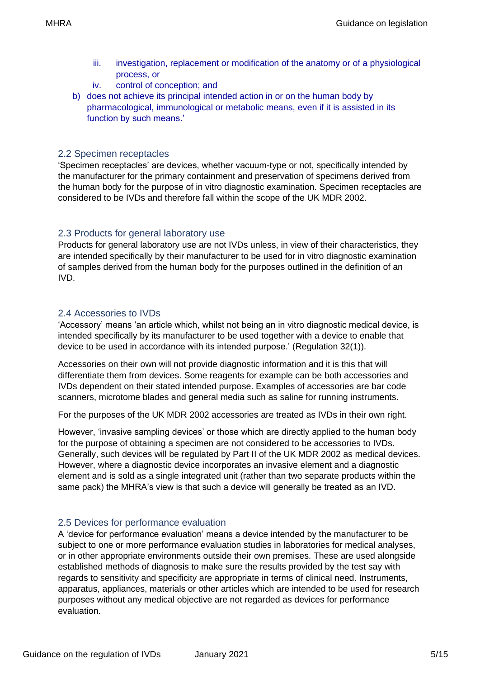- iii. investigation, replacement or modification of the anatomy or of a physiological process, or
- iv. control of conception; and
- b) does not achieve its principal intended action in or on the human body by pharmacological, immunological or metabolic means, even if it is assisted in its function by such means.'

#### <span id="page-4-0"></span>2.2 Specimen receptacles

'Specimen receptacles' are devices, whether vacuum-type or not, specifically intended by the manufacturer for the primary containment and preservation of specimens derived from the human body for the purpose of in vitro diagnostic examination. Specimen receptacles are considered to be IVDs and therefore fall within the scope of the UK MDR 2002.

#### <span id="page-4-1"></span>2.3 Products for general laboratory use

Products for general laboratory use are not IVDs unless, in view of their characteristics, they are intended specifically by their manufacturer to be used for in vitro diagnostic examination of samples derived from the human body for the purposes outlined in the definition of an IVD.

#### <span id="page-4-2"></span>2.4 Accessories to IVDs

'Accessory' means 'an article which, whilst not being an in vitro diagnostic medical device, is intended specifically by its manufacturer to be used together with a device to enable that device to be used in accordance with its intended purpose.' (Regulation 32(1)).

Accessories on their own will not provide diagnostic information and it is this that will differentiate them from devices. Some reagents for example can be both accessories and IVDs dependent on their stated intended purpose. Examples of accessories are bar code scanners, microtome blades and general media such as saline for running instruments.

For the purposes of the UK MDR 2002 accessories are treated as IVDs in their own right.

However, 'invasive sampling devices' or those which are directly applied to the human body for the purpose of obtaining a specimen are not considered to be accessories to IVDs. Generally, such devices will be regulated by Part II of the UK MDR 2002 as medical devices. However, where a diagnostic device incorporates an invasive element and a diagnostic element and is sold as a single integrated unit (rather than two separate products within the same pack) the MHRA's view is that such a device will generally be treated as an IVD.

#### <span id="page-4-3"></span>2.5 Devices for performance evaluation

A 'device for performance evaluation' means a device intended by the manufacturer to be subject to one or more performance evaluation studies in laboratories for medical analyses, or in other appropriate environments outside their own premises. These are used alongside established methods of diagnosis to make sure the results provided by the test say with regards to sensitivity and specificity are appropriate in terms of clinical need. Instruments, apparatus, appliances, materials or other articles which are intended to be used for research purposes without any medical objective are not regarded as devices for performance evaluation.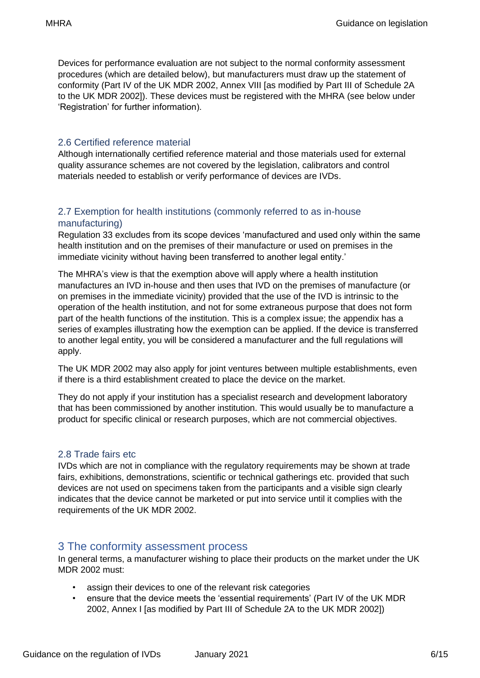Devices for performance evaluation are not subject to the normal conformity assessment procedures (which are detailed below), but manufacturers must draw up the statement of conformity (Part IV of the UK MDR 2002, Annex VIII [as modified by Part III of Schedule 2A to the UK MDR 2002]). These devices must be registered with the MHRA (see below under 'Registration' for further information).

#### <span id="page-5-0"></span>2.6 Certified reference material

Although internationally certified reference material and those materials used for external quality assurance schemes are not covered by the legislation, calibrators and control materials needed to establish or verify performance of devices are IVDs.

#### <span id="page-5-1"></span>2.7 Exemption for health institutions (commonly referred to as in-house manufacturing)

Regulation 33 excludes from its scope devices 'manufactured and used only within the same health institution and on the premises of their manufacture or used on premises in the immediate vicinity without having been transferred to another legal entity.'

The MHRA's view is that the exemption above will apply where a health institution manufactures an IVD in-house and then uses that IVD on the premises of manufacture (or on premises in the immediate vicinity) provided that the use of the IVD is intrinsic to the operation of the health institution, and not for some extraneous purpose that does not form part of the health functions of the institution. This is a complex issue; the appendix has a series of examples illustrating how the exemption can be applied. If the device is transferred to another legal entity, you will be considered a manufacturer and the full regulations will apply.

The UK MDR 2002 may also apply for joint ventures between multiple establishments, even if there is a third establishment created to place the device on the market.

They do not apply if your institution has a specialist research and development laboratory that has been commissioned by another institution. This would usually be to manufacture a product for specific clinical or research purposes, which are not commercial objectives.

#### <span id="page-5-2"></span>2.8 Trade fairs etc

IVDs which are not in compliance with the regulatory requirements may be shown at trade fairs, exhibitions, demonstrations, scientific or technical gatherings etc. provided that such devices are not used on specimens taken from the participants and a visible sign clearly indicates that the device cannot be marketed or put into service until it complies with the requirements of the UK MDR 2002.

## <span id="page-5-3"></span>3 The conformity assessment process

In general terms, a manufacturer wishing to place their products on the market under the UK MDR 2002 must:

- assign their devices to one of the relevant risk categories
- ensure that the device meets the 'essential requirements' (Part IV of the UK MDR 2002, Annex I [as modified by Part III of Schedule 2A to the UK MDR 2002])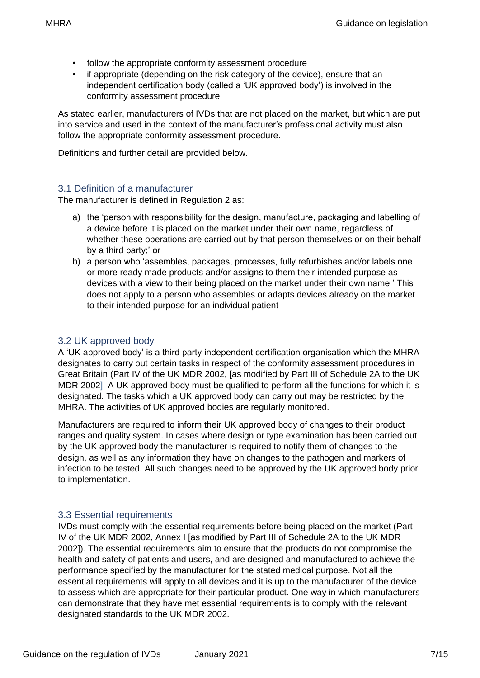- follow the appropriate conformity assessment procedure
- if appropriate (depending on the risk category of the device), ensure that an independent certification body (called a 'UK approved body') is involved in the conformity assessment procedure

As stated earlier, manufacturers of IVDs that are not placed on the market, but which are put into service and used in the context of the manufacturer's professional activity must also follow the appropriate conformity assessment procedure.

Definitions and further detail are provided below.

#### <span id="page-6-0"></span>3.1 Definition of a manufacturer

The manufacturer is defined in Regulation 2 as:

- a) the 'person with responsibility for the design, manufacture, packaging and labelling of a device before it is placed on the market under their own name, regardless of whether these operations are carried out by that person themselves or on their behalf by a third party;' or
- b) a person who 'assembles, packages, processes, fully refurbishes and/or labels one or more ready made products and/or assigns to them their intended purpose as devices with a view to their being placed on the market under their own name.' This does not apply to a person who assembles or adapts devices already on the market to their intended purpose for an individual patient

#### <span id="page-6-1"></span>3.2 UK approved body

A 'UK approved body' is a third party independent certification organisation which the MHRA designates to carry out certain tasks in respect of the conformity assessment procedures in Great Britain (Part IV of the UK MDR 2002, [as modified by Part III of Schedule 2A to the UK MDR 2002]. A UK approved body must be qualified to perform all the functions for which it is designated. The tasks which a UK approved body can carry out may be restricted by the MHRA. The activities of UK approved bodies are regularly monitored.

Manufacturers are required to inform their UK approved body of changes to their product ranges and quality system. In cases where design or type examination has been carried out by the UK approved body the manufacturer is required to notify them of changes to the design, as well as any information they have on changes to the pathogen and markers of infection to be tested. All such changes need to be approved by the UK approved body prior to implementation.

#### <span id="page-6-2"></span>3.3 Essential requirements

IVDs must comply with the essential requirements before being placed on the market (Part IV of the UK MDR 2002, Annex I [as modified by Part III of Schedule 2A to the UK MDR 2002]). The essential requirements aim to ensure that the products do not compromise the health and safety of patients and users, and are designed and manufactured to achieve the performance specified by the manufacturer for the stated medical purpose. Not all the essential requirements will apply to all devices and it is up to the manufacturer of the device to assess which are appropriate for their particular product. One way in which manufacturers can demonstrate that they have met essential requirements is to comply with the relevant designated standards to the UK MDR 2002.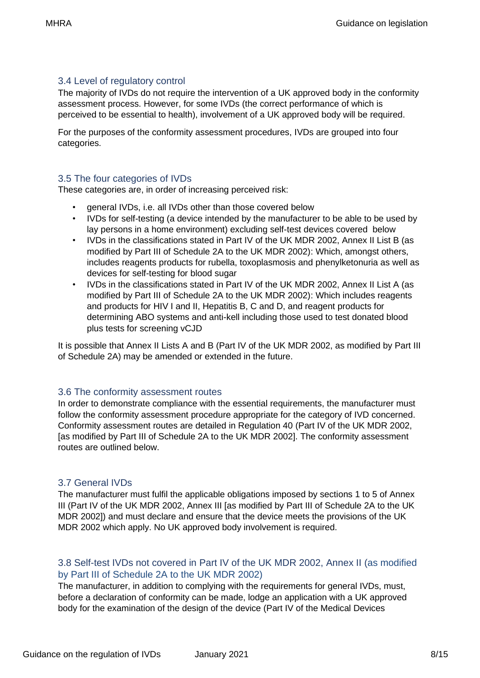#### <span id="page-7-0"></span>3.4 Level of regulatory control

The majority of IVDs do not require the intervention of a UK approved body in the conformity assessment process. However, for some IVDs (the correct performance of which is perceived to be essential to health), involvement of a UK approved body will be required.

For the purposes of the conformity assessment procedures, IVDs are grouped into four categories.

#### <span id="page-7-1"></span>3.5 The four categories of IVDs

These categories are, in order of increasing perceived risk:

- general IVDs, i.e. all IVDs other than those covered below
- IVDs for self-testing (a device intended by the manufacturer to be able to be used by lay persons in a home environment) excluding self-test devices covered below
- IVDs in the classifications stated in Part IV of the UK MDR 2002, Annex II List B (as modified by Part III of Schedule 2A to the UK MDR 2002): Which, amongst others, includes reagents products for rubella, toxoplasmosis and phenylketonuria as well as devices for self-testing for blood sugar
- IVDs in the classifications stated in Part IV of the UK MDR 2002, Annex II List A (as modified by Part III of Schedule 2A to the UK MDR 2002): Which includes reagents and products for HIV I and II, Hepatitis B, C and D, and reagent products for determining ABO systems and anti-kell including those used to test donated blood plus tests for screening vCJD

It is possible that Annex II Lists A and B (Part IV of the UK MDR 2002, as modified by Part III of Schedule 2A) may be amended or extended in the future.

#### <span id="page-7-2"></span>3.6 The conformity assessment routes

In order to demonstrate compliance with the essential requirements, the manufacturer must follow the conformity assessment procedure appropriate for the category of IVD concerned. Conformity assessment routes are detailed in Regulation 40 (Part IV of the UK MDR 2002, [as modified by Part III of Schedule 2A to the UK MDR 2002]. The conformity assessment routes are outlined below.

#### <span id="page-7-3"></span>3.7 General IVDs

The manufacturer must fulfil the applicable obligations imposed by sections 1 to 5 of Annex III (Part IV of the UK MDR 2002, Annex III [as modified by Part III of Schedule 2A to the UK MDR 2002]) and must declare and ensure that the device meets the provisions of the UK MDR 2002 which apply. No UK approved body involvement is required.

#### <span id="page-7-4"></span>3.8 Self-test IVDs not covered in Part IV of the UK MDR 2002, Annex II (as modified by Part III of Schedule 2A to the UK MDR 2002)

The manufacturer, in addition to complying with the requirements for general IVDs, must, before a declaration of conformity can be made, lodge an application with a UK approved body for the examination of the design of the device (Part IV of the Medical Devices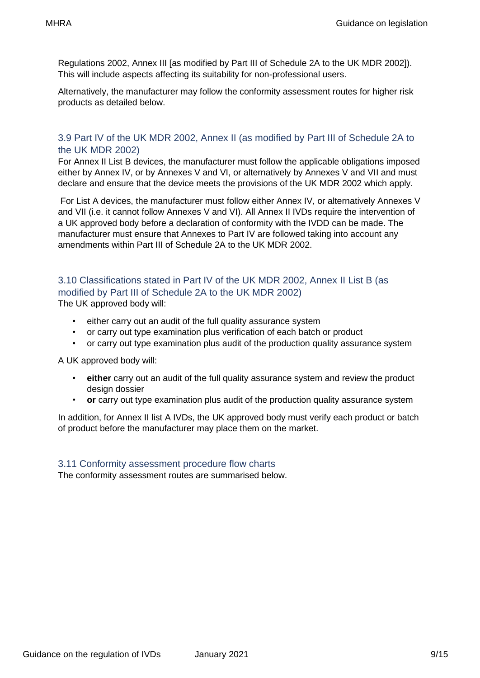Regulations 2002, Annex III [as modified by Part III of Schedule 2A to the UK MDR 2002]). This will include aspects affecting its suitability for non-professional users.

Alternatively, the manufacturer may follow the conformity assessment routes for higher risk products as detailed below.

#### <span id="page-8-0"></span>3.9 Part IV of the UK MDR 2002, Annex II (as modified by Part III of Schedule 2A to the UK MDR 2002)

For Annex II List B devices, the manufacturer must follow the applicable obligations imposed either by Annex IV, or by Annexes V and VI, or alternatively by Annexes V and VII and must declare and ensure that the device meets the provisions of the UK MDR 2002 which apply.

For List A devices, the manufacturer must follow either Annex IV, or alternatively Annexes V and VII (i.e. it cannot follow Annexes V and VI). All Annex II IVDs require the intervention of a UK approved body before a declaration of conformity with the IVDD can be made. The manufacturer must ensure that Annexes to Part IV are followed taking into account any amendments within Part III of Schedule 2A to the UK MDR 2002.

### <span id="page-8-1"></span>3.10 Classifications stated in Part IV of the UK MDR 2002, Annex II List B (as modified by Part III of Schedule 2A to the UK MDR 2002)

The UK approved body will:

- either carry out an audit of the full quality assurance system
- or carry out type examination plus verification of each batch or product
- or carry out type examination plus audit of the production quality assurance system

A UK approved body will:

- **either** carry out an audit of the full quality assurance system and review the product design dossier
- **or** carry out type examination plus audit of the production quality assurance system

In addition, for Annex II list A IVDs, the UK approved body must verify each product or batch of product before the manufacturer may place them on the market.

#### <span id="page-8-2"></span>3.11 Conformity assessment procedure flow charts

The conformity assessment routes are summarised below.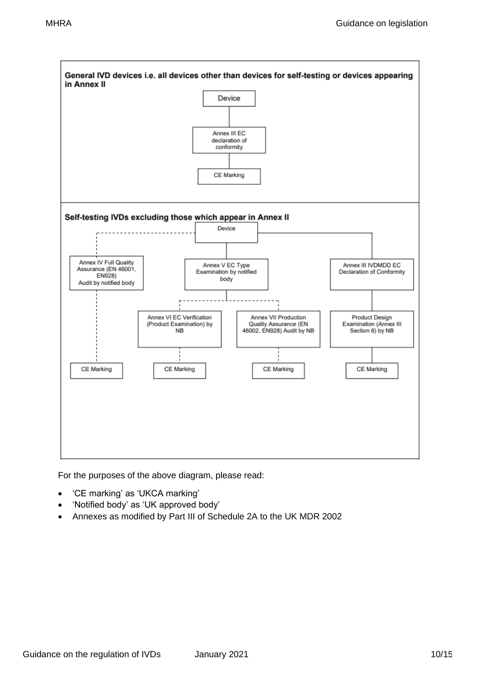

For the purposes of the above diagram, please read:

- 'CE marking' as 'UKCA marking'
- 'Notified body' as 'UK approved body'
- Annexes as modified by Part III of Schedule 2A to the UK MDR 2002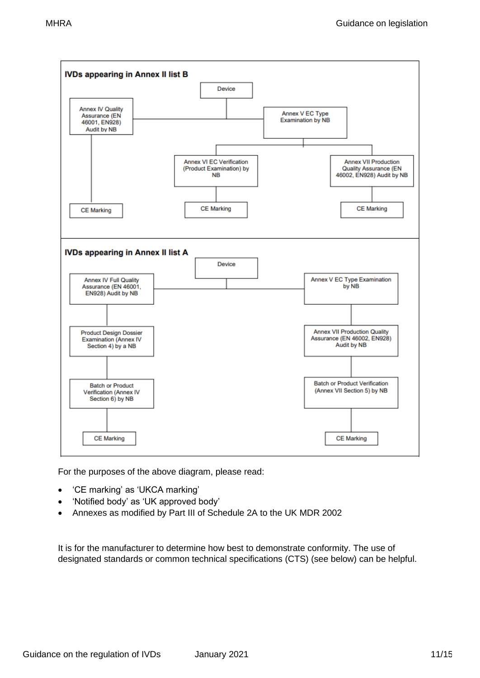

For the purposes of the above diagram, please read:

- 'CE marking' as 'UKCA marking'
- 'Notified body' as 'UK approved body'
- Annexes as modified by Part III of Schedule 2A to the UK MDR 2002

It is for the manufacturer to determine how best to demonstrate conformity. The use of designated standards or common technical specifications (CTS) (see below) can be helpful.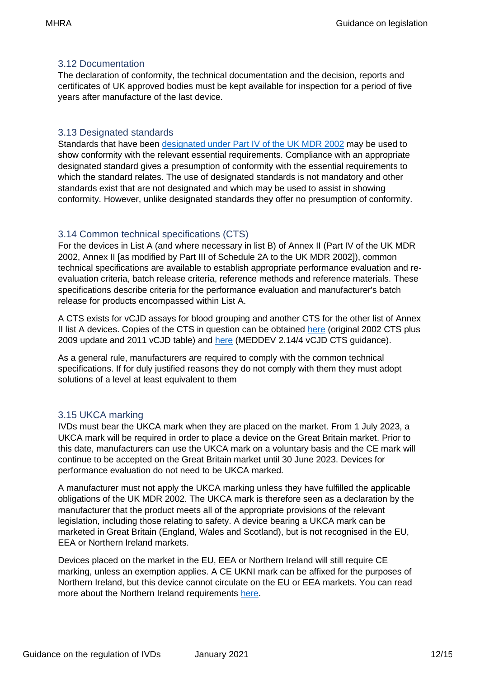#### <span id="page-11-0"></span>3.12 Documentation

The declaration of conformity, the technical documentation and the decision, reports and certificates of UK approved bodies must be kept available for inspection for a period of five years after manufacture of the last device.

#### <span id="page-11-1"></span>3.13 Designated standards

Standards that have been [designated under Part IV of the UK MDR 2002](http://ec.europa.eu/enterprise/policies/european-standards/harmonised-standards/iv-diagnostic-medical-devices/index_en.htm) may be used to show conformity with the relevant essential requirements. Compliance with an appropriate designated standard gives a presumption of conformity with the essential requirements to which the standard relates. The use of designated standards is not mandatory and other standards exist that are not designated and which may be used to assist in showing conformity. However, unlike designated standards they offer no presumption of conformity.

#### <span id="page-11-2"></span>3.14 Common technical specifications (CTS)

For the devices in List A (and where necessary in list B) of Annex II (Part IV of the UK MDR 2002, Annex II [as modified by Part III of Schedule 2A to the UK MDR 2002]), common technical specifications are available to establish appropriate performance evaluation and reevaluation criteria, batch release criteria, reference methods and reference materials. These specifications describe criteria for the performance evaluation and manufacturer's batch release for products encompassed within List A.

A CTS exists for vCJD assays for blood grouping and another CTS for the other list of Annex II list A devices. Copies of the CTS in question can be obtained [here](https://eur-lex.europa.eu/legal-content/EN/TXT/PDF/?uri=CELEX:32011D0869&from=RO) (original 2002 CTS plus 2009 update and 2011 vCJD table) and [here](https://ec.europa.eu/docsroom/documents/10338/attachments/1/translations) (MEDDEV 2.14/4 vCJD CTS guidance).

As a general rule, manufacturers are required to comply with the common technical specifications. If for duly justified reasons they do not comply with them they must adopt solutions of a level at least equivalent to them

#### <span id="page-11-3"></span>3.15 UKCA marking

IVDs must bear the UKCA mark when they are placed on the market. From 1 July 2023, a UKCA mark will be required in order to place a device on the Great Britain market. Prior to this date, manufacturers can use the UKCA mark on a voluntary basis and the CE mark will continue to be accepted on the Great Britain market until 30 June 2023. Devices for performance evaluation do not need to be UKCA marked.

A manufacturer must not apply the UKCA marking unless they have fulfilled the applicable obligations of the UK MDR 2002. The UKCA mark is therefore seen as a declaration by the manufacturer that the product meets all of the appropriate provisions of the relevant legislation, including those relating to safety. A device bearing a UKCA mark can be marketed in Great Britain (England, Wales and Scotland), but is not recognised in the EU, EEA or Northern Ireland markets.

Devices placed on the market in the EU, EEA or Northern Ireland will still require CE marking, unless an exemption applies. A CE UKNI mark can be affixed for the purposes of Northern Ireland, but this device cannot circulate on the EU or EEA markets. You can read more about the Northern Ireland requirements [here.](https://www.gov.uk/guidance/regulating-medical-devices-from-1-january-2021#NI)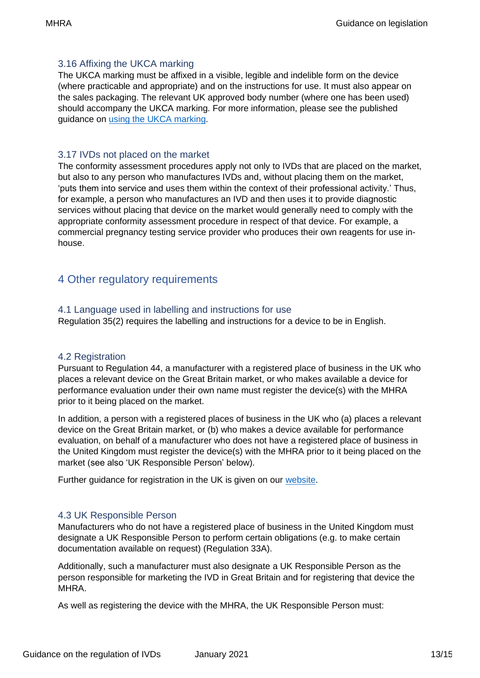#### <span id="page-12-0"></span>3.16 Affixing the UKCA marking

The UKCA marking must be affixed in a visible, legible and indelible form on the device (where practicable and appropriate) and on the instructions for use. It must also appear on the sales packaging. The relevant UK approved body number (where one has been used) should accompany the UKCA marking. For more information, please see the published guidance on [using the UKCA marking.](https://www.gov.uk/guidance/using-the-ukca-mark-from-1-january-2021)

#### <span id="page-12-1"></span>3.17 IVDs not placed on the market

The conformity assessment procedures apply not only to IVDs that are placed on the market, but also to any person who manufactures IVDs and, without placing them on the market, 'puts them into service and uses them within the context of their professional activity.' Thus, for example, a person who manufactures an IVD and then uses it to provide diagnostic services without placing that device on the market would generally need to comply with the appropriate conformity assessment procedure in respect of that device. For example, a commercial pregnancy testing service provider who produces their own reagents for use inhouse.

## <span id="page-12-2"></span>4 Other regulatory requirements

#### <span id="page-12-3"></span>4.1 Language used in labelling and instructions for use

Regulation 35(2) requires the labelling and instructions for a device to be in English.

#### <span id="page-12-4"></span>4.2 Registration

Pursuant to Regulation 44, a manufacturer with a registered place of business in the UK who places a relevant device on the Great Britain market, or who makes available a device for performance evaluation under their own name must register the device(s) with the MHRA prior to it being placed on the market.

In addition, a person with a registered places of business in the UK who (a) places a relevant device on the Great Britain market, or (b) who makes a device available for performance evaluation, on behalf of a manufacturer who does not have a registered place of business in the United Kingdom must register the device(s) with the MHRA prior to it being placed on the market (see also 'UK Responsible Person' below).

Further guidance for registration in the UK is given on our [website.](https://www.gov.uk/guidance/register-as-a-manufacturer-to-sell-medical-devices)

#### <span id="page-12-5"></span>4.3 UK Responsible Person

Manufacturers who do not have a registered place of business in the United Kingdom must designate a UK Responsible Person to perform certain obligations (e.g. to make certain documentation available on request) (Regulation 33A).

Additionally, such a manufacturer must also designate a UK Responsible Person as the person responsible for marketing the IVD in Great Britain and for registering that device the MHRA.

As well as registering the device with the MHRA, the UK Responsible Person must: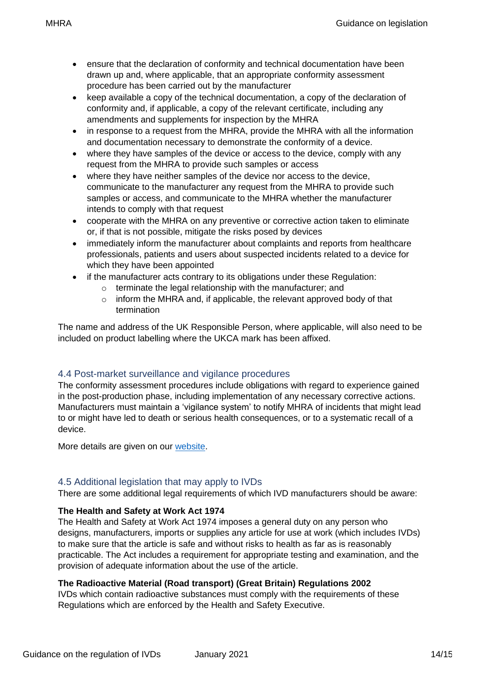- ensure that the declaration of conformity and technical documentation have been drawn up and, where applicable, that an appropriate conformity assessment procedure has been carried out by the manufacturer
- keep available a copy of the technical documentation, a copy of the declaration of conformity and, if applicable, a copy of the relevant certificate, including any amendments and supplements for inspection by the MHRA
- in response to a request from the MHRA, provide the MHRA with all the information and documentation necessary to demonstrate the conformity of a device.
- where they have samples of the device or access to the device, comply with any request from the MHRA to provide such samples or access
- where they have neither samples of the device nor access to the device, communicate to the manufacturer any request from the MHRA to provide such samples or access, and communicate to the MHRA whether the manufacturer intends to comply with that request
- cooperate with the MHRA on any preventive or corrective action taken to eliminate or, if that is not possible, mitigate the risks posed by devices
- immediately inform the manufacturer about complaints and reports from healthcare professionals, patients and users about suspected incidents related to a device for which they have been appointed
- if the manufacturer acts contrary to its obligations under these Regulation:
	- o terminate the legal relationship with the manufacturer; and
	- o inform the MHRA and, if applicable, the relevant approved body of that termination

The name and address of the UK Responsible Person, where applicable, will also need to be included on product labelling where the UKCA mark has been affixed.

#### <span id="page-13-0"></span>4.4 Post-market surveillance and vigilance procedures

The conformity assessment procedures include obligations with regard to experience gained in the post-production phase, including implementation of any necessary corrective actions. Manufacturers must maintain a 'vigilance system' to notify MHRA of incidents that might lead to or might have led to death or serious health consequences, or to a systematic recall of a device.

More details are given on our [website.](https://www.gov.uk/government/collections/medical-devices-guidance-for-manufacturers-on-vigilance)

#### <span id="page-13-2"></span><span id="page-13-1"></span>4.5 Additional legislation that may apply to IVDs

There are some additional legal requirements of which IVD manufacturers should be aware:

#### **The Health and Safety at Work Act 1974**

The Health and Safety at Work Act 1974 imposes a general duty on any person who designs, manufacturers, imports or supplies any article for use at work (which includes IVDs) to make sure that the article is safe and without risks to health as far as is reasonably practicable. The Act includes a requirement for appropriate testing and examination, and the provision of adequate information about the use of the article.

#### **The Radioactive Material (Road transport) (Great Britain) Regulations 2002**

IVDs which contain radioactive substances must comply with the requirements of these Regulations which are enforced by the Health and Safety Executive.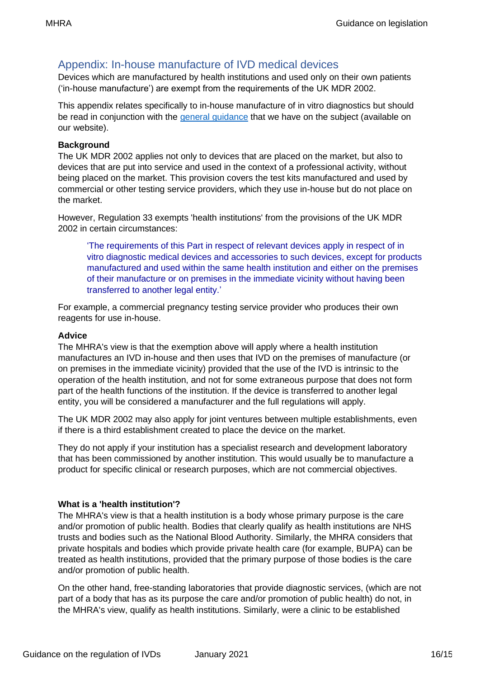## <span id="page-15-0"></span>Appendix: In-house manufacture of IVD medical devices

Devices which are manufactured by health institutions and used only on their own patients ('in-house manufacture') are exempt from the requirements of the UK MDR 2002.

This appendix relates specifically to in-house manufacture of in vitro diagnostics but should be read in conjunction with the [general guidance](https://www.gov.uk/government/publications/in-house-manufacture-of-medical-devices/in-house-manufacture-of-medical-devices) that we have on the subject (available on our website).

#### **Background**

The UK MDR 2002 applies not only to devices that are placed on the market, but also to devices that are put into service and used in the context of a professional activity, without being placed on the market. This provision covers the test kits manufactured and used by commercial or other testing service providers, which they use in-house but do not place on the market.

However, Regulation 33 exempts 'health institutions' from the provisions of the UK MDR 2002 in certain circumstances:

'The requirements of this Part in respect of relevant devices apply in respect of in vitro diagnostic medical devices and accessories to such devices, except for products manufactured and used within the same health institution and either on the premises of their manufacture or on premises in the immediate vicinity without having been transferred to another legal entity.'

For example, a commercial pregnancy testing service provider who produces their own reagents for use in-house.

#### **Advice**

The MHRA's view is that the exemption above will apply where a health institution manufactures an IVD in-house and then uses that IVD on the premises of manufacture (or on premises in the immediate vicinity) provided that the use of the IVD is intrinsic to the operation of the health institution, and not for some extraneous purpose that does not form part of the health functions of the institution. If the device is transferred to another legal entity, you will be considered a manufacturer and the full regulations will apply.

The UK MDR 2002 may also apply for joint ventures between multiple establishments, even if there is a third establishment created to place the device on the market.

They do not apply if your institution has a specialist research and development laboratory that has been commissioned by another institution. This would usually be to manufacture a product for specific clinical or research purposes, which are not commercial objectives.

#### **What is a 'health institution'?**

The MHRA's view is that a health institution is a body whose primary purpose is the care and/or promotion of public health. Bodies that clearly qualify as health institutions are NHS trusts and bodies such as the National Blood Authority. Similarly, the MHRA considers that private hospitals and bodies which provide private health care (for example, BUPA) can be treated as health institutions, provided that the primary purpose of those bodies is the care and/or promotion of public health.

On the other hand, free-standing laboratories that provide diagnostic services, (which are not part of a body that has as its purpose the care and/or promotion of public health) do not, in the MHRA's view, qualify as health institutions. Similarly, were a clinic to be established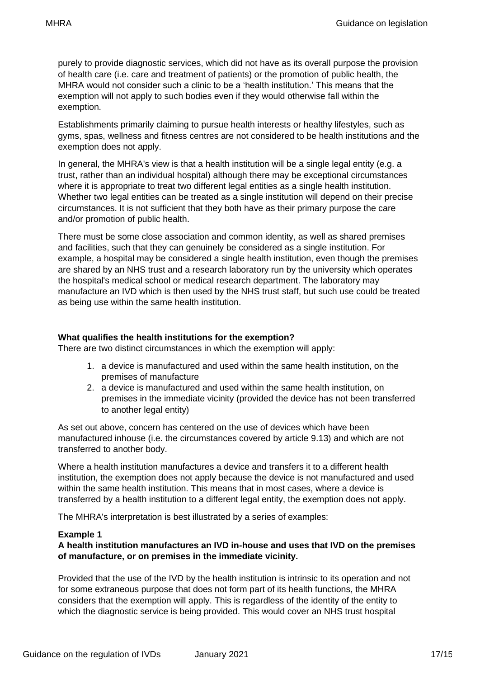purely to provide diagnostic services, which did not have as its overall purpose the provision of health care (i.e. care and treatment of patients) or the promotion of public health, the MHRA would not consider such a clinic to be a 'health institution.' This means that the exemption will not apply to such bodies even if they would otherwise fall within the exemption.

Establishments primarily claiming to pursue health interests or healthy lifestyles, such as gyms, spas, wellness and fitness centres are not considered to be health institutions and the exemption does not apply.

In general, the MHRA's view is that a health institution will be a single legal entity (e.g. a trust, rather than an individual hospital) although there may be exceptional circumstances where it is appropriate to treat two different legal entities as a single health institution. Whether two legal entities can be treated as a single institution will depend on their precise circumstances. It is not sufficient that they both have as their primary purpose the care and/or promotion of public health.

There must be some close association and common identity, as well as shared premises and facilities, such that they can genuinely be considered as a single institution. For example, a hospital may be considered a single health institution, even though the premises are shared by an NHS trust and a research laboratory run by the university which operates the hospital's medical school or medical research department. The laboratory may manufacture an IVD which is then used by the NHS trust staff, but such use could be treated as being use within the same health institution.

#### **What qualifies the health institutions for the exemption?**

There are two distinct circumstances in which the exemption will apply:

- 1. a device is manufactured and used within the same health institution, on the premises of manufacture
- 2. a device is manufactured and used within the same health institution, on premises in the immediate vicinity (provided the device has not been transferred to another legal entity)

As set out above, concern has centered on the use of devices which have been manufactured inhouse (i.e. the circumstances covered by article 9.13) and which are not transferred to another body.

Where a health institution manufactures a device and transfers it to a different health institution, the exemption does not apply because the device is not manufactured and used within the same health institution. This means that in most cases, where a device is transferred by a health institution to a different legal entity, the exemption does not apply.

The MHRA's interpretation is best illustrated by a series of examples:

#### **Example 1**

#### **A health institution manufactures an IVD in-house and uses that IVD on the premises of manufacture, or on premises in the immediate vicinity.**

Provided that the use of the IVD by the health institution is intrinsic to its operation and not for some extraneous purpose that does not form part of its health functions, the MHRA considers that the exemption will apply. This is regardless of the identity of the entity to which the diagnostic service is being provided. This would cover an NHS trust hospital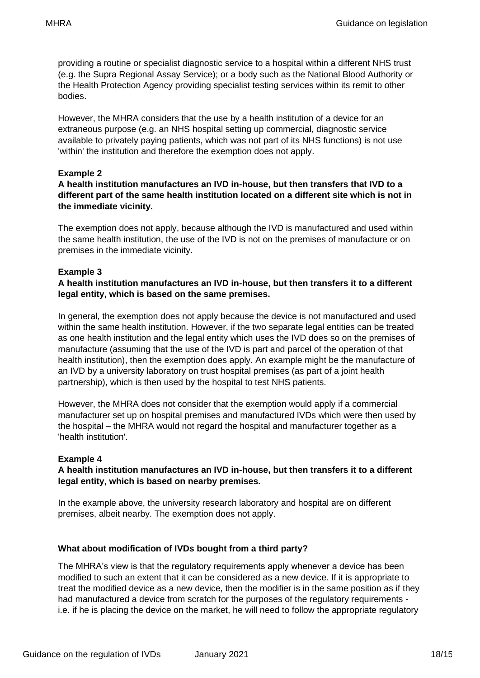providing a routine or specialist diagnostic service to a hospital within a different NHS trust (e.g. the Supra Regional Assay Service); or a body such as the National Blood Authority or the Health Protection Agency providing specialist testing services within its remit to other bodies.

However, the MHRA considers that the use by a health institution of a device for an extraneous purpose (e.g. an NHS hospital setting up commercial, diagnostic service available to privately paying patients, which was not part of its NHS functions) is not use 'within' the institution and therefore the exemption does not apply.

#### **Example 2**

#### **A health institution manufactures an IVD in-house, but then transfers that IVD to a different part of the same health institution located on a different site which is not in the immediate vicinity.**

The exemption does not apply, because although the IVD is manufactured and used within the same health institution, the use of the IVD is not on the premises of manufacture or on premises in the immediate vicinity.

#### **Example 3**

#### **A health institution manufactures an IVD in-house, but then transfers it to a different legal entity, which is based on the same premises.**

In general, the exemption does not apply because the device is not manufactured and used within the same health institution. However, if the two separate legal entities can be treated as one health institution and the legal entity which uses the IVD does so on the premises of manufacture (assuming that the use of the IVD is part and parcel of the operation of that health institution), then the exemption does apply. An example might be the manufacture of an IVD by a university laboratory on trust hospital premises (as part of a joint health partnership), which is then used by the hospital to test NHS patients.

However, the MHRA does not consider that the exemption would apply if a commercial manufacturer set up on hospital premises and manufactured IVDs which were then used by the hospital – the MHRA would not regard the hospital and manufacturer together as a 'health institution'.

#### **Example 4**

#### **A health institution manufactures an IVD in-house, but then transfers it to a different legal entity, which is based on nearby premises.**

In the example above, the university research laboratory and hospital are on different premises, albeit nearby. The exemption does not apply.

#### **What about modification of IVDs bought from a third party?**

The MHRA's view is that the regulatory requirements apply whenever a device has been modified to such an extent that it can be considered as a new device. If it is appropriate to treat the modified device as a new device, then the modifier is in the same position as if they had manufactured a device from scratch for the purposes of the regulatory requirements i.e. if he is placing the device on the market, he will need to follow the appropriate regulatory